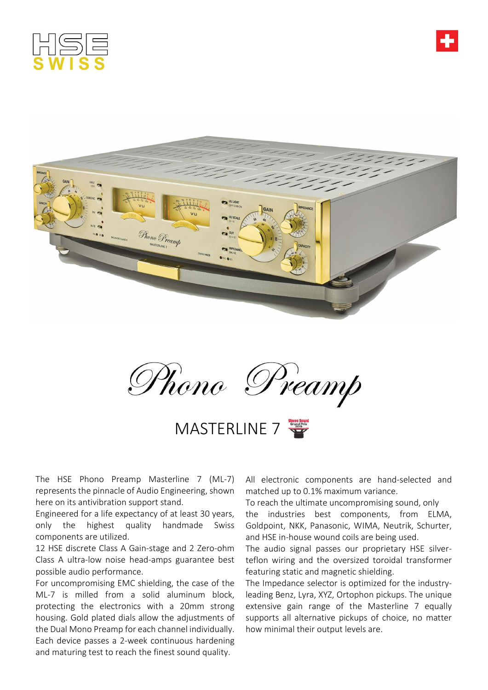





Phono Preamp

MASTERLINE 7

The HSE Phono Preamp Masterline 7 (ML-7) represents the pinnacle of Audio Engineering, shown here on its antivibration support stand.

Engineered for a life expectancy of at least 30 years, only the highest quality handmade Swiss components are utilized.

12 HSE discrete Class A Gain-stage and 2 Zero-ohm Class A ultra-low noise head-amps guarantee best possible audio performance.

For uncompromising EMC shielding, the case of the ML-7 is milled from a solid aluminum block, protecting the electronics with a 20mm strong housing. Gold plated dials allow the adjustments of the Dual Mono Preamp for each channel individually. Each device passes a 2-week continuous hardening and maturing test to reach the finest sound quality.

All electronic components are hand-selected and matched up to 0.1% maximum variance.

To reach the ultimate uncompromising sound, only the industries best components, from ELMA, Goldpoint, NKK, Panasonic, WIMA, Neutrik, Schurter, and HSE in-house wound coils are being used.

The audio signal passes our proprietary HSE silverteflon wiring and the oversized toroidal transformer featuring static and magnetic shielding.

The Impedance selector is optimized for the industryleading Benz, Lyra, XYZ, Ortophon pickups. The unique extensive gain range of the Masterline 7 equally supports all alternative pickups of choice, no matter how minimal their output levels are.